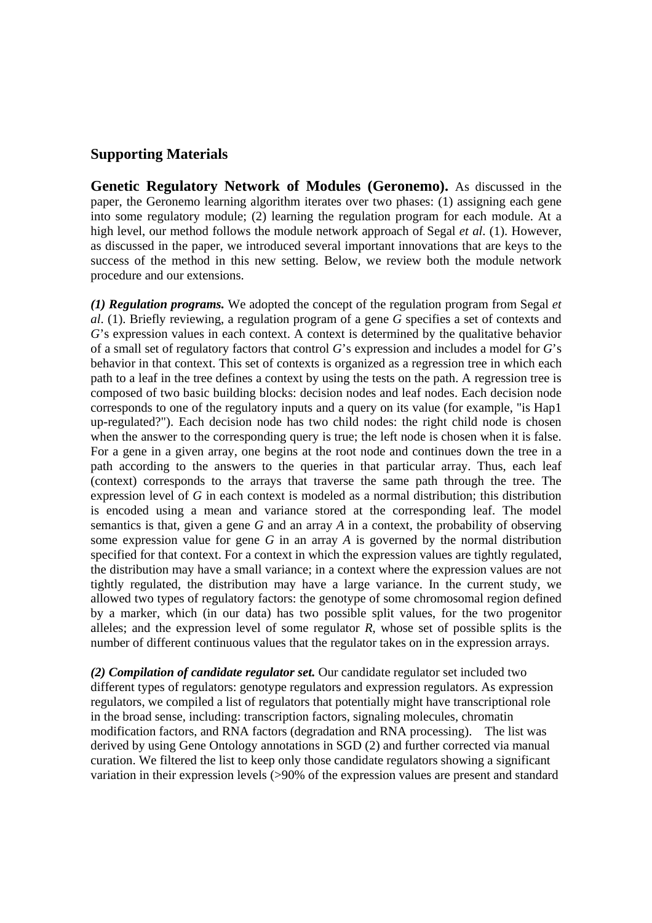## **Supporting Materials**

**Genetic Regulatory Network of Modules (Geronemo).** As discussed in the paper, the Geronemo learning algorithm iterates over two phases: (1) assigning each gene into some regulatory module; (2) learning the regulation program for each module. At a high level, our method follows the module network approach of Segal *et al*. (1). However, as discussed in the paper, we introduced several important innovations that are keys to the success of the method in this new setting. Below, we review both the module network procedure and our extensions.

*(1) Regulation programs.* We adopted the concept of the regulation program from Segal *et al*. (1). Briefly reviewing, a regulation program of a gene *G* specifies a set of contexts and *G*'s expression values in each context. A context is determined by the qualitative behavior of a small set of regulatory factors that control *G*'s expression and includes a model for *G*'s behavior in that context. This set of contexts is organized as a regression tree in which each path to a leaf in the tree defines a context by using the tests on the path. A regression tree is composed of two basic building blocks: decision nodes and leaf nodes. Each decision node corresponds to one of the regulatory inputs and a query on its value (for example, "is Hap1 up-regulated?"). Each decision node has two child nodes: the right child node is chosen when the answer to the corresponding query is true; the left node is chosen when it is false. For a gene in a given array, one begins at the root node and continues down the tree in a path according to the answers to the queries in that particular array. Thus, each leaf (context) corresponds to the arrays that traverse the same path through the tree. The expression level of *G* in each context is modeled as a normal distribution; this distribution is encoded using a mean and variance stored at the corresponding leaf. The model semantics is that, given a gene *G* and an array *A* in a context, the probability of observing some expression value for gene *G* in an array *A* is governed by the normal distribution specified for that context. For a context in which the expression values are tightly regulated, the distribution may have a small variance; in a context where the expression values are not tightly regulated, the distribution may have a large variance. In the current study, we allowed two types of regulatory factors: the genotype of some chromosomal region defined by a marker, which (in our data) has two possible split values, for the two progenitor alleles; and the expression level of some regulator *R*, whose set of possible splits is the number of different continuous values that the regulator takes on in the expression arrays.

*(2) Compilation of candidate regulator set.* Our candidate regulator set included two different types of regulators: genotype regulators and expression regulators. As expression regulators, we compiled a list of regulators that potentially might have transcriptional role in the broad sense, including: transcription factors, signaling molecules, chromatin modification factors, and RNA factors (degradation and RNA processing). The list was derived by using Gene Ontology annotations in SGD (2) and further corrected via manual curation. We filtered the list to keep only those candidate regulators showing a significant variation in their expression levels  $\sim$  90% of the expression values are present and standard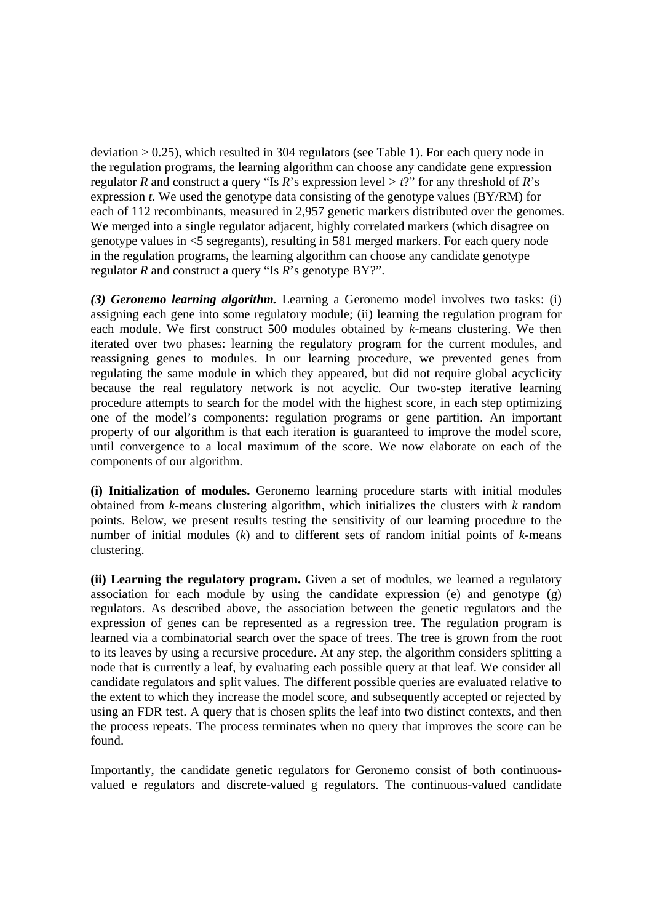deviation  $> 0.25$ ), which resulted in 304 regulators (see Table 1). For each query node in the regulation programs, the learning algorithm can choose any candidate gene expression regulator *R* and construct a query "Is *R*'s expression level  $> t$ ?" for any threshold of *R*'s expression *t*. We used the genotype data consisting of the genotype values (BY/RM) for each of 112 recombinants, measured in 2,957 genetic markers distributed over the genomes. We merged into a single regulator adjacent, highly correlated markers (which disagree on genotype values in <5 segregants), resulting in 581 merged markers. For each query node in the regulation programs, the learning algorithm can choose any candidate genotype regulator *R* and construct a query "Is *R*'s genotype BY?".

*(3) Geronemo learning algorithm.* Learning a Geronemo model involves two tasks: (i) assigning each gene into some regulatory module; (ii) learning the regulation program for each module. We first construct 500 modules obtained by *k*-means clustering. We then iterated over two phases: learning the regulatory program for the current modules, and reassigning genes to modules. In our learning procedure, we prevented genes from regulating the same module in which they appeared, but did not require global acyclicity because the real regulatory network is not acyclic. Our two-step iterative learning procedure attempts to search for the model with the highest score, in each step optimizing one of the model's components: regulation programs or gene partition. An important property of our algorithm is that each iteration is guaranteed to improve the model score, until convergence to a local maximum of the score. We now elaborate on each of the components of our algorithm.

**(i) Initialization of modules.** Geronemo learning procedure starts with initial modules obtained from *k*-means clustering algorithm, which initializes the clusters with *k* random points. Below, we present results testing the sensitivity of our learning procedure to the number of initial modules (*k*) and to different sets of random initial points of *k*-means clustering.

**(ii) Learning the regulatory program.** Given a set of modules, we learned a regulatory association for each module by using the candidate expression (e) and genotype (g) regulators. As described above, the association between the genetic regulators and the expression of genes can be represented as a regression tree. The regulation program is learned via a combinatorial search over the space of trees. The tree is grown from the root to its leaves by using a recursive procedure. At any step, the algorithm considers splitting a node that is currently a leaf, by evaluating each possible query at that leaf. We consider all candidate regulators and split values. The different possible queries are evaluated relative to the extent to which they increase the model score, and subsequently accepted or rejected by using an FDR test. A query that is chosen splits the leaf into two distinct contexts, and then the process repeats. The process terminates when no query that improves the score can be found.

Importantly, the candidate genetic regulators for Geronemo consist of both continuousvalued e regulators and discrete-valued g regulators. The continuous-valued candidate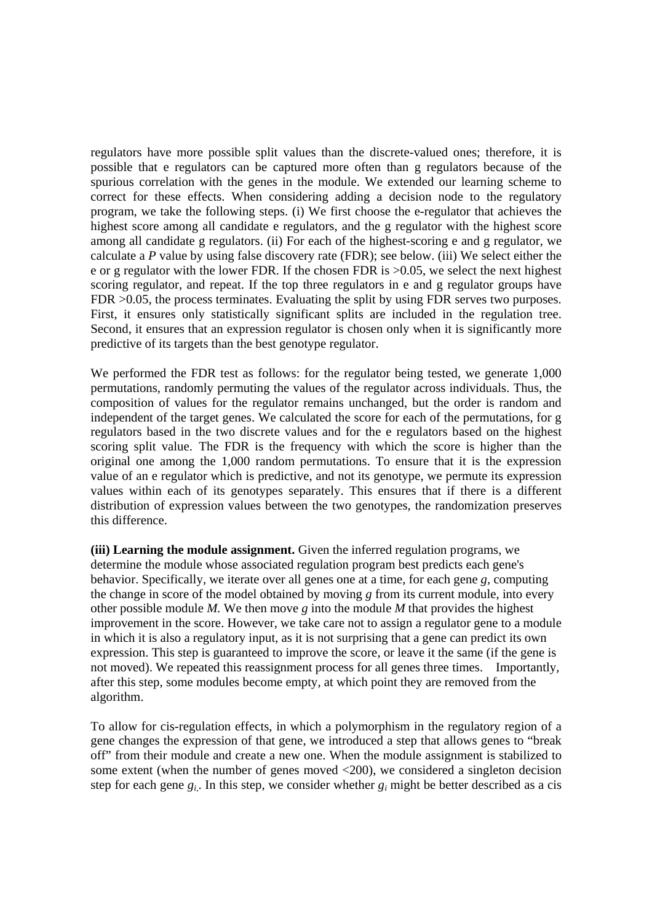regulators have more possible split values than the discrete-valued ones; therefore, it is possible that e regulators can be captured more often than g regulators because of the spurious correlation with the genes in the module. We extended our learning scheme to correct for these effects. When considering adding a decision node to the regulatory program, we take the following steps. (i) We first choose the e-regulator that achieves the highest score among all candidate e regulators, and the g regulator with the highest score among all candidate g regulators. (ii) For each of the highest-scoring e and g regulator, we calculate a *P* value by using false discovery rate (FDR); see below. (iii) We select either the e or g regulator with the lower FDR. If the chosen FDR is >0.05, we select the next highest scoring regulator, and repeat. If the top three regulators in e and g regulator groups have FDR  $>0.05$ , the process terminates. Evaluating the split by using FDR serves two purposes. First, it ensures only statistically significant splits are included in the regulation tree. Second, it ensures that an expression regulator is chosen only when it is significantly more predictive of its targets than the best genotype regulator.

We performed the FDR test as follows: for the regulator being tested, we generate  $1,000$ permutations, randomly permuting the values of the regulator across individuals. Thus, the composition of values for the regulator remains unchanged, but the order is random and independent of the target genes. We calculated the score for each of the permutations, for g regulators based in the two discrete values and for the e regulators based on the highest scoring split value. The FDR is the frequency with which the score is higher than the original one among the 1,000 random permutations. To ensure that it is the expression value of an e regulator which is predictive, and not its genotype, we permute its expression values within each of its genotypes separately. This ensures that if there is a different distribution of expression values between the two genotypes, the randomization preserves this difference.

**(iii) Learning the module assignment.** Given the inferred regulation programs, we determine the module whose associated regulation program best predicts each gene's behavior. Specifically, we iterate over all genes one at a time, for each gene *g,* computing the change in score of the model obtained by moving *g* from its current module, into every other possible module *M.* We then move *g* into the module *M* that provides the highest improvement in the score. However, we take care not to assign a regulator gene to a module in which it is also a regulatory input, as it is not surprising that a gene can predict its own expression. This step is guaranteed to improve the score, or leave it the same (if the gene is not moved). We repeated this reassignment process for all genes three times. Importantly, after this step, some modules become empty, at which point they are removed from the algorithm.

To allow for cis-regulation effects, in which a polymorphism in the regulatory region of a gene changes the expression of that gene, we introduced a step that allows genes to "break off" from their module and create a new one. When the module assignment is stabilized to some extent (when the number of genes moved <200), we considered a singleton decision step for each gene  $g_i$ . In this step, we consider whether  $g_i$  might be better described as a cis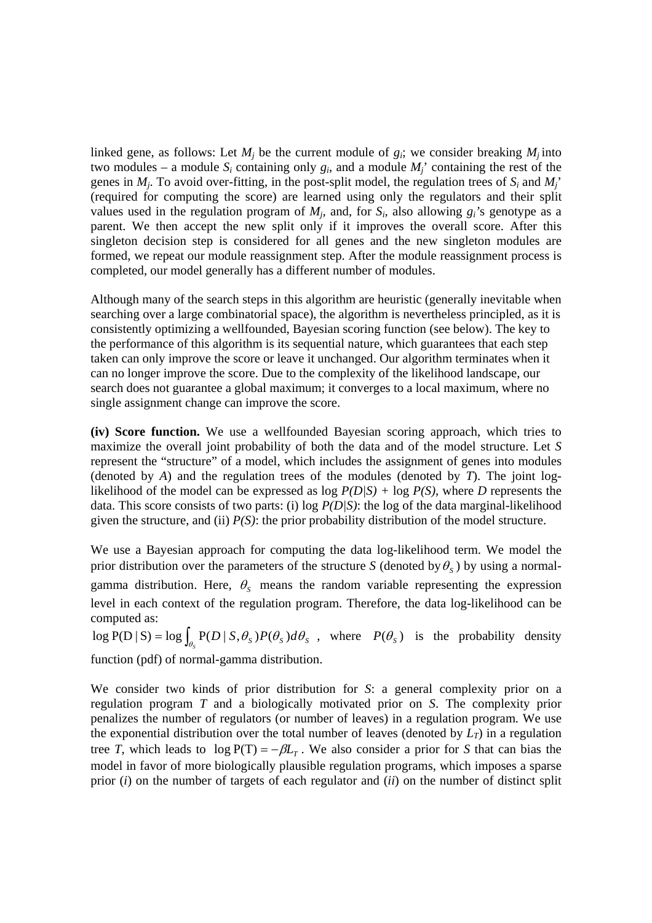linked gene, as follows: Let  $M_i$  be the current module of  $g_i$ ; we consider breaking  $M_i$  into two modules – a module  $S_i$  containing only  $g_i$ , and a module  $M_i$ <sup>'</sup> containing the rest of the genes in  $M_i$ . To avoid over-fitting, in the post-split model, the regulation trees of  $S_i$  and  $M_i'$ (required for computing the score) are learned using only the regulators and their split values used in the regulation program of  $M_i$ , and, for  $S_i$ , also allowing  $g_i$ 's genotype as a parent. We then accept the new split only if it improves the overall score. After this singleton decision step is considered for all genes and the new singleton modules are formed, we repeat our module reassignment step. After the module reassignment process is completed, our model generally has a different number of modules.

Although many of the search steps in this algorithm are heuristic (generally inevitable when searching over a large combinatorial space), the algorithm is nevertheless principled, as it is consistently optimizing a wellfounded, Bayesian scoring function (see below). The key to the performance of this algorithm is its sequential nature, which guarantees that each step taken can only improve the score or leave it unchanged. Our algorithm terminates when it can no longer improve the score. Due to the complexity of the likelihood landscape, our search does not guarantee a global maximum; it converges to a local maximum, where no single assignment change can improve the score.

**(iv) Score function.** We use a wellfounded Bayesian scoring approach, which tries to maximize the overall joint probability of both the data and of the model structure. Let *S* represent the "structure" of a model, which includes the assignment of genes into modules (denoted by  $\vec{A}$ ) and the regulation trees of the modules (denoted by  $\vec{T}$ ). The joint loglikelihood of the model can be expressed as log *P(D|S) +* log *P(S)*, where *D* represents the data. This score consists of two parts: (i) log *P(D|S)*: the log of the data marginal-likelihood given the structure, and (ii) *P(S)*: the prior probability distribution of the model structure.

We use a Bayesian approach for computing the data log-likelihood term. We model the prior distribution over the parameters of the structure *S* (denoted by  $\theta_s$ ) by using a normalgamma distribution. Here,  $\theta_s$  means the random variable representing the expression level in each context of the regulation program. Therefore, the data log-likelihood can be computed as:

 $\log P(D \mid S) = \log \int_{\theta_s} P(D \mid S, \theta_s) P(\theta_s) d\theta_s$ , where  $P(\theta_s)$  is the probability density function (pdf) of normal-gamma distribution.

We consider two kinds of prior distribution for *S*: a general complexity prior on a regulation program *T* and a biologically motivated prior on *S*. The complexity prior penalizes the number of regulators (or number of leaves) in a regulation program. We use the exponential distribution over the total number of leaves (denoted by  $L_T$ ) in a regulation tree *T*, which leads to  $\log P(T) = -\beta L_r$ . We also consider a prior for *S* that can bias the model in favor of more biologically plausible regulation programs, which imposes a sparse prior (*i*) on the number of targets of each regulator and (*ii*) on the number of distinct split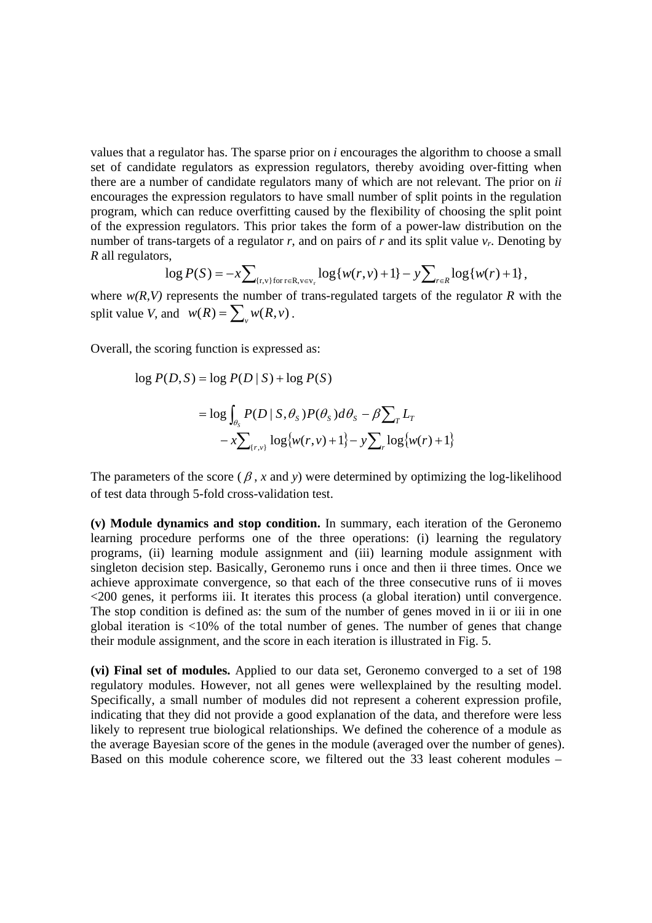values that a regulator has. The sparse prior on *i* encourages the algorithm to choose a small set of candidate regulators as expression regulators, thereby avoiding over-fitting when there are a number of candidate regulators many of which are not relevant. The prior on *ii* encourages the expression regulators to have small number of split points in the regulation program, which can reduce overfitting caused by the flexibility of choosing the split point of the expression regulators. This prior takes the form of a power-law distribution on the number of trans-targets of a regulator  $r$ , and on pairs of  $r$  and its split value  $v_r$ . Denoting by *R* all regulators,

$$
\log P(S) = -x \sum_{\{r,v\} \text{ for } r \in R, v \in v_r} \log \{w(r,v) + 1\} - y \sum_{r \in R} \log \{w(r) + 1\},\
$$

where  $w(R, V)$  represents the number of trans-regulated targets of the regulator  $R$  with the split value *V*, and  $w(R) = \sum_{v} w(R, v)$ .

Overall, the scoring function is expressed as:

$$
\log P(D, S) = \log P(D | S) + \log P(S)
$$
  
= 
$$
\log \int_{\theta_S} P(D | S, \theta_S) P(\theta_S) d\theta_S - \beta \sum_{T} L_T
$$
  
- 
$$
- x \sum_{\{r, v\}} \log \{w(r, v) + 1\} - y \sum_{r} \log \{w(r) + 1\}
$$

The parameters of the score ( $\beta$ , *x* and *y*) were determined by optimizing the log-likelihood of test data through 5-fold cross-validation test.

**(v) Module dynamics and stop condition.** In summary, each iteration of the Geronemo learning procedure performs one of the three operations: (i) learning the regulatory programs, (ii) learning module assignment and (iii) learning module assignment with singleton decision step. Basically, Geronemo runs i once and then ii three times. Once we achieve approximate convergence, so that each of the three consecutive runs of ii moves <200 genes, it performs iii. It iterates this process (a global iteration) until convergence. The stop condition is defined as: the sum of the number of genes moved in ii or iii in one global iteration is <10% of the total number of genes. The number of genes that change their module assignment, and the score in each iteration is illustrated in Fig. 5.

**(vi) Final set of modules.** Applied to our data set, Geronemo converged to a set of 198 regulatory modules. However, not all genes were wellexplained by the resulting model. Specifically, a small number of modules did not represent a coherent expression profile, indicating that they did not provide a good explanation of the data, and therefore were less likely to represent true biological relationships. We defined the coherence of a module as the average Bayesian score of the genes in the module (averaged over the number of genes). Based on this module coherence score, we filtered out the 33 least coherent modules –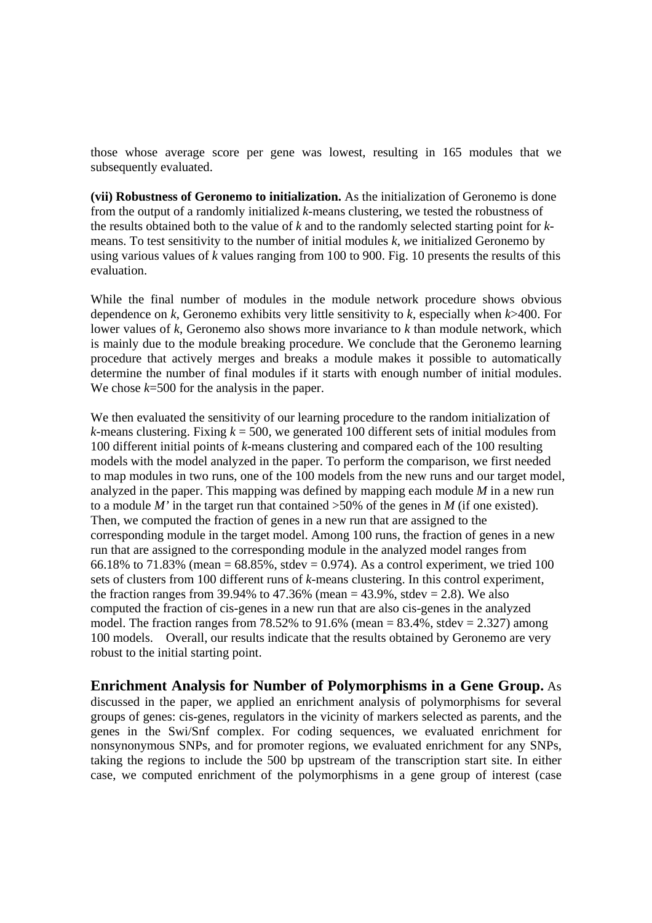those whose average score per gene was lowest, resulting in 165 modules that we subsequently evaluated.

**(vii) Robustness of Geronemo to initialization.** As the initialization of Geronemo is done from the output of a randomly initialized *k*-means clustering, we tested the robustness of the results obtained both to the value of *k* and to the randomly selected starting point for *k*means. To test sensitivity to the number of initial modules *k, w*e initialized Geronemo by using various values of *k* values ranging from 100 to 900. Fig. 10 presents the results of this evaluation.

While the final number of modules in the module network procedure shows obvious dependence on *k*, Geronemo exhibits very little sensitivity to *k*, especially when *k*>400. For lower values of *k*, Geronemo also shows more invariance to *k* than module network, which is mainly due to the module breaking procedure. We conclude that the Geronemo learning procedure that actively merges and breaks a module makes it possible to automatically determine the number of final modules if it starts with enough number of initial modules. We chose *k*=500 for the analysis in the paper.

We then evaluated the sensitivity of our learning procedure to the random initialization of *k*-means clustering. Fixing  $k = 500$ , we generated 100 different sets of initial modules from 100 different initial points of *k*-means clustering and compared each of the 100 resulting models with the model analyzed in the paper. To perform the comparison, we first needed to map modules in two runs, one of the 100 models from the new runs and our target model, analyzed in the paper. This mapping was defined by mapping each module *M* in a new run to a module *M*' in the target run that contained  $>50\%$  of the genes in *M* (if one existed). Then, we computed the fraction of genes in a new run that are assigned to the corresponding module in the target model. Among 100 runs, the fraction of genes in a new run that are assigned to the corresponding module in the analyzed model ranges from 66.18% to 71.83% (mean = 68.85%, stdev = 0.974). As a control experiment, we tried 100 sets of clusters from 100 different runs of *k*-means clustering. In this control experiment, the fraction ranges from 39.94% to 47.36% (mean  $=$  43.9%, stdev  $=$  2.8). We also computed the fraction of cis-genes in a new run that are also cis-genes in the analyzed model. The fraction ranges from  $78.52\%$  to  $91.6\%$  (mean =  $83.4\%$ , stdev =  $2.327$ ) among 100 models. Overall, our results indicate that the results obtained by Geronemo are very robust to the initial starting point.

**Enrichment Analysis for Number of Polymorphisms in a Gene Group.** As discussed in the paper, we applied an enrichment analysis of polymorphisms for several groups of genes: cis-genes, regulators in the vicinity of markers selected as parents, and the genes in the Swi/Snf complex. For coding sequences, we evaluated enrichment for nonsynonymous SNPs, and for promoter regions, we evaluated enrichment for any SNPs, taking the regions to include the 500 bp upstream of the transcription start site. In either case, we computed enrichment of the polymorphisms in a gene group of interest (case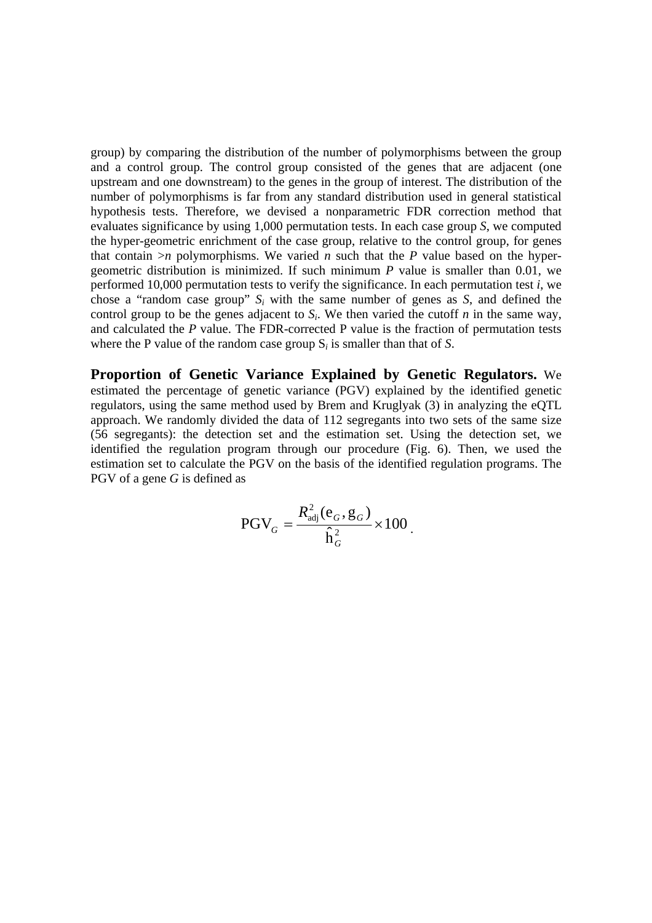group) by comparing the distribution of the number of polymorphisms between the group and a control group. The control group consisted of the genes that are adjacent (one upstream and one downstream) to the genes in the group of interest. The distribution of the number of polymorphisms is far from any standard distribution used in general statistical hypothesis tests. Therefore, we devised a nonparametric FDR correction method that evaluates significance by using 1,000 permutation tests. In each case group *S*, we computed the hyper-geometric enrichment of the case group, relative to the control group, for genes that contain  $>n$  polymorphisms. We varied *n* such that the *P* value based on the hypergeometric distribution is minimized. If such minimum *P* value is smaller than 0.01, we performed 10,000 permutation tests to verify the significance. In each permutation test *i*, we chose a "random case group"  $S_i$  with the same number of genes as  $S$ , and defined the control group to be the genes adjacent to  $S_i$ . We then varied the cutoff *n* in the same way, and calculated the *P* value. The FDR-corrected P value is the fraction of permutation tests where the P value of the random case group S*i* is smaller than that of *S*.

**Proportion of Genetic Variance Explained by Genetic Regulators.** We estimated the percentage of genetic variance (PGV) explained by the identified genetic regulators, using the same method used by Brem and Kruglyak (3) in analyzing the eQTL approach. We randomly divided the data of 112 segregants into two sets of the same size (56 segregants): the detection set and the estimation set. Using the detection set, we identified the regulation program through our procedure (Fig. 6). Then, we used the estimation set to calculate the PGV on the basis of the identified regulation programs. The PGV of a gene *G* is defined as

$$
\text{PGV}_G = \frac{R_{\text{adj}}^2(\mathbf{e}_G, \mathbf{g}_G)}{\hat{\mathbf{h}}_G^2} \times 100.
$$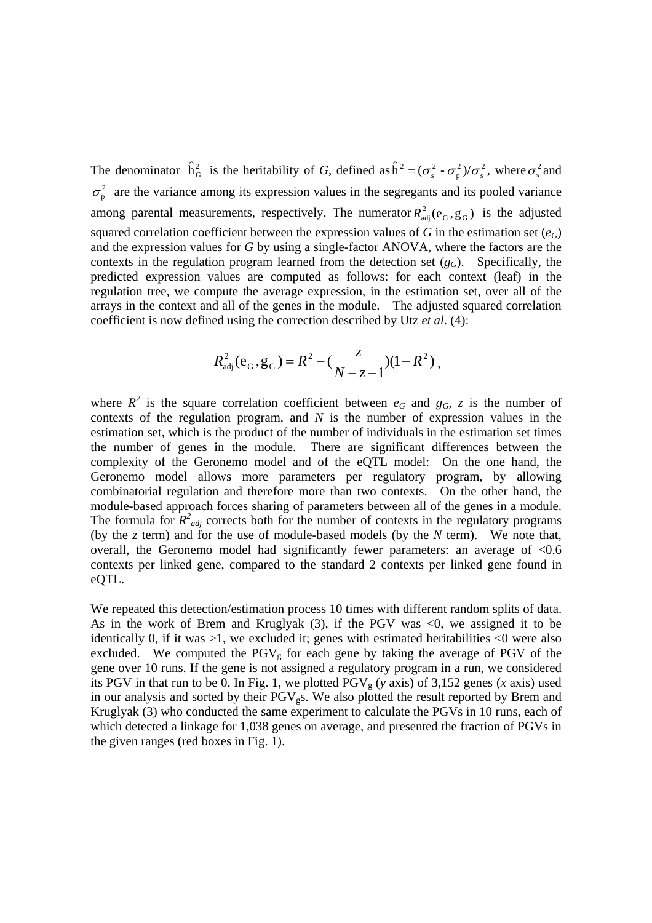The denominator  $\hat{h}_{G}^{2}$  is the heritability of *G*, defined as  $\hat{h}^{2} = (\sigma_{s}^{2} - \sigma_{p}^{2})/\sigma_{s}^{2}$ 2 p 2  $\hat{h}^2 = (\sigma_s^2 - \sigma_p^2)/\sigma_s^2$ , where  $\sigma_s^2$  and  $\sigma_{\rm p}^2$  are the variance among its expression values in the segregants and its pooled variance among parental measurements, respectively. The numerator  $R_{\text{adj}}^2(e_G, g_G)$  is the adjusted squared correlation coefficient between the expression values of  $G$  in the estimation set  $(e_G)$ and the expression values for *G* by using a single-factor ANOVA, where the factors are the contexts in the regulation program learned from the detection set  $(g_G)$ . Specifically, the predicted expression values are computed as follows: for each context (leaf) in the regulation tree, we compute the average expression, in the estimation set, over all of the arrays in the context and all of the genes in the module. The adjusted squared correlation coefficient is now defined using the correction described by Utz *et al*. (4):

$$
R_{\text{adj}}^{2}(e_{G}, g_{G}) = R^{2} - \left(\frac{z}{N - z - 1}\right)(1 - R^{2}),
$$

where  $R^2$  is the square correlation coefficient between  $e_G$  and  $g_G$ , *z* is the number of contexts of the regulation program, and *N* is the number of expression values in the estimation set, which is the product of the number of individuals in the estimation set times the number of genes in the module. There are significant differences between the complexity of the Geronemo model and of the eQTL model: On the one hand, the Geronemo model allows more parameters per regulatory program, by allowing combinatorial regulation and therefore more than two contexts. On the other hand, the module-based approach forces sharing of parameters between all of the genes in a module. The formula for  $R^2_{adj}$  corrects both for the number of contexts in the regulatory programs (by the *z* term) and for the use of module-based models (by the *N* term). We note that, overall, the Geronemo model had significantly fewer parameters: an average of  $\langle 0.6 \rangle$ contexts per linked gene, compared to the standard 2 contexts per linked gene found in eQTL.

We repeated this detection/estimation process 10 times with different random splits of data. As in the work of Brem and Kruglyak (3), if the PGV was <0, we assigned it to be identically 0, if it was  $>1$ , we excluded it; genes with estimated heritabilities  $<0$  were also excluded. We computed the  $PGV<sub>g</sub>$  for each gene by taking the average of PGV of the gene over 10 runs. If the gene is not assigned a regulatory program in a run, we considered its PGV in that run to be 0. In Fig. 1, we plotted  $PGV<sub>g</sub>$  (*y* axis) of 3,152 genes (*x* axis) used in our analysis and sorted by their  $PGV<sub>g</sub>s$ . We also plotted the result reported by Brem and Kruglyak (3) who conducted the same experiment to calculate the PGVs in 10 runs, each of which detected a linkage for 1,038 genes on average, and presented the fraction of PGVs in the given ranges (red boxes in Fig. 1).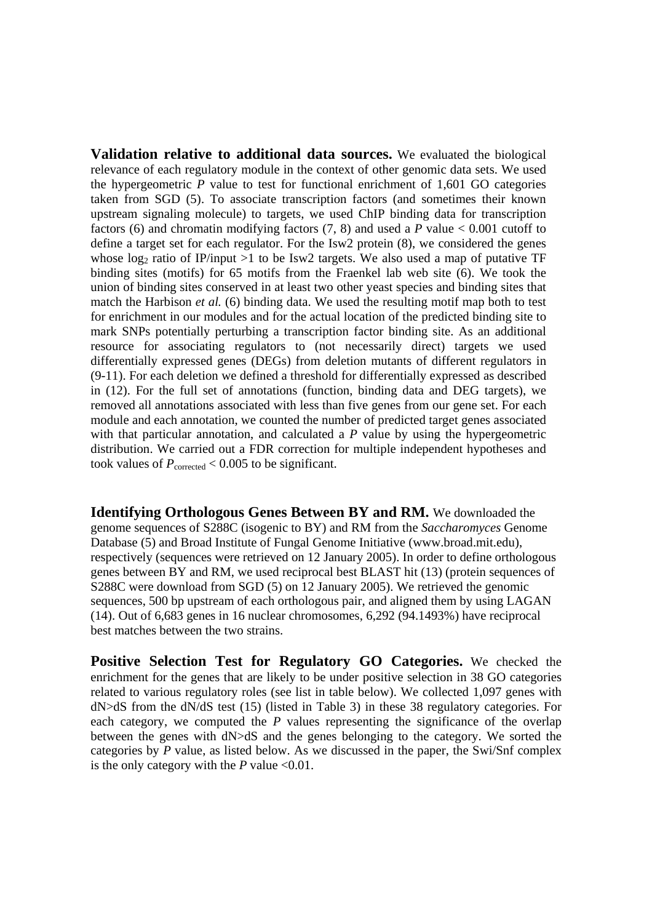**Validation relative to additional data sources.** We evaluated the biological relevance of each regulatory module in the context of other genomic data sets. We used the hypergeometric *P* value to test for functional enrichment of 1,601 GO categories taken from SGD (5). To associate transcription factors (and sometimes their known upstream signaling molecule) to targets, we used ChIP binding data for transcription factors (6) and chromatin modifying factors  $(7, 8)$  and used a *P* value  $< 0.001$  cutoff to define a target set for each regulator. For the Isw2 protein (8), we considered the genes whose log<sub>2</sub> ratio of IP/input >1 to be Isw2 targets. We also used a map of putative TF binding sites (motifs) for 65 motifs from the Fraenkel lab web site (6). We took the union of binding sites conserved in at least two other yeast species and binding sites that match the Harbison *et al.* (6) binding data. We used the resulting motif map both to test for enrichment in our modules and for the actual location of the predicted binding site to mark SNPs potentially perturbing a transcription factor binding site. As an additional resource for associating regulators to (not necessarily direct) targets we used differentially expressed genes (DEGs) from deletion mutants of different regulators in (9-11). For each deletion we defined a threshold for differentially expressed as described in (12). For the full set of annotations (function, binding data and DEG targets), we removed all annotations associated with less than five genes from our gene set. For each module and each annotation, we counted the number of predicted target genes associated with that particular annotation, and calculated a *P* value by using the hypergeometric distribution. We carried out a FDR correction for multiple independent hypotheses and took values of  $P_{\text{corrected}}$  < 0.005 to be significant.

**Identifying Orthologous Genes Between BY and RM.** We downloaded the genome sequences of S288C (isogenic to BY) and RM from the *Saccharomyces* Genome Database (5) and Broad Institute of Fungal Genome Initiative (www.broad.mit.edu), respectively (sequences were retrieved on 12 January 2005). In order to define orthologous genes between BY and RM, we used reciprocal best BLAST hit (13) (protein sequences of S288C were download from SGD (5) on 12 January 2005). We retrieved the genomic sequences, 500 bp upstream of each orthologous pair, and aligned them by using LAGAN (14). Out of 6,683 genes in 16 nuclear chromosomes, 6,292 (94.1493%) have reciprocal best matches between the two strains.

**Positive Selection Test for Regulatory GO Categories.** We checked the enrichment for the genes that are likely to be under positive selection in 38 GO categories related to various regulatory roles (see list in table below). We collected 1,097 genes with dN>dS from the dN/dS test (15) (listed in Table 3) in these 38 regulatory categories. For each category, we computed the *P* values representing the significance of the overlap between the genes with dN>dS and the genes belonging to the category. We sorted the categories by *P* value, as listed below. As we discussed in the paper, the Swi/Snf complex is the only category with the  $P$  value <0.01.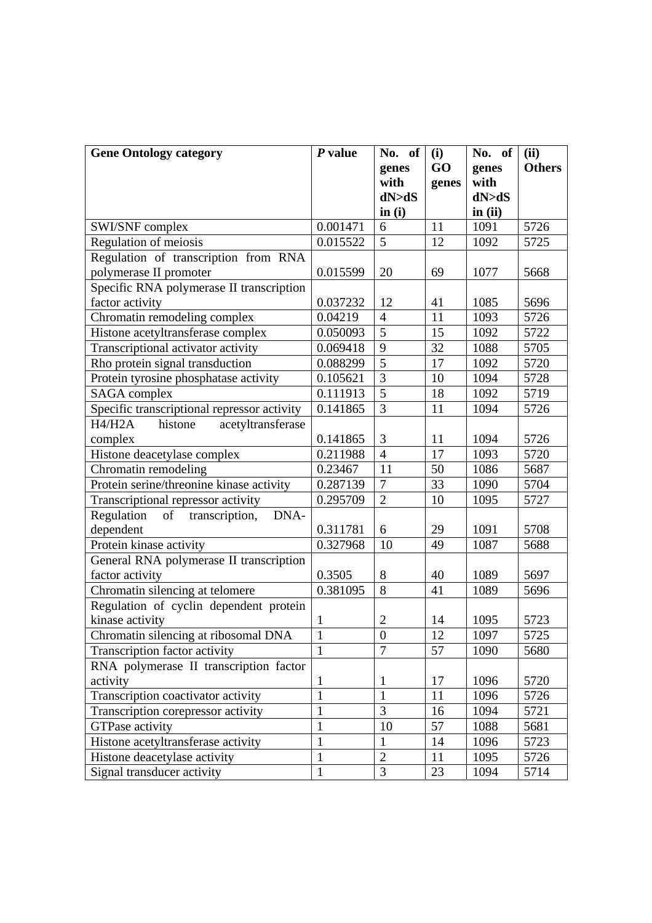| <b>Gene Ontology category</b>               | $P$ value      | No. of         | (i)   | No. of  | (ii)          |
|---------------------------------------------|----------------|----------------|-------|---------|---------------|
|                                             |                | genes          | GO    | genes   | <b>Others</b> |
|                                             |                | with           | genes | with    |               |
|                                             |                | dN > dS        |       | dN > dS |               |
|                                             |                | in(i)          |       | in (ii) |               |
| SWI/SNF complex                             | 0.001471       | 6              | 11    | 1091    | 5726          |
| Regulation of meiosis                       | 0.015522       | 5              | 12    | 1092    | 5725          |
| Regulation of transcription from RNA        |                |                |       |         |               |
| polymerase II promoter                      | 0.015599       | 20             | 69    | 1077    | 5668          |
| Specific RNA polymerase II transcription    |                |                |       |         |               |
| factor activity                             | 0.037232       | 12             | 41    | 1085    | 5696          |
| Chromatin remodeling complex                | 0.04219        | $\overline{4}$ | 11    | 1093    | 5726          |
| Histone acetyltransferase complex           | 0.050093       | $\overline{5}$ | 15    | 1092    | 5722          |
| Transcriptional activator activity          | 0.069418       | 9              | 32    | 1088    | 5705          |
| Rho protein signal transduction             | 0.088299       | $\overline{5}$ | 17    | 1092    | 5720          |
| Protein tyrosine phosphatase activity       | 0.105621       | 3              | 10    | 1094    | 5728          |
| <b>SAGA</b> complex                         | 0.111913       | $\overline{5}$ | 18    | 1092    | 5719          |
| Specific transcriptional repressor activity | 0.141865       | $\overline{3}$ | 11    | 1094    | 5726          |
| H4/H2A<br>acetyltransferase<br>histone      |                |                |       |         |               |
| complex                                     | 0.141865       | 3              | 11    | 1094    | 5726          |
| Histone deacetylase complex                 | 0.211988       | $\overline{4}$ | 17    | 1093    | 5720          |
| Chromatin remodeling                        | 0.23467        | 11             | 50    | 1086    | 5687          |
| Protein serine/threonine kinase activity    | 0.287139       | $\overline{7}$ | 33    | 1090    | 5704          |
| Transcriptional repressor activity          | 0.295709       | $\overline{2}$ | 10    | 1095    | 5727          |
| of transcription,<br>DNA-<br>Regulation     |                |                |       |         |               |
| dependent                                   | 0.311781       | 6              | 29    | 1091    | 5708          |
| Protein kinase activity                     | 0.327968       | 10             | 49    | 1087    | 5688          |
| General RNA polymerase II transcription     |                |                |       |         |               |
| factor activity                             | 0.3505         | 8              | 40    | 1089    | 5697          |
| Chromatin silencing at telomere             | 0.381095       | 8              | 41    | 1089    | 5696          |
| Regulation of cyclin dependent protein      |                |                |       |         |               |
| kinase activity                             | 1              | $\mathbf{2}$   | 14    | 1095    | 5723          |
| Chromatin silencing at ribosomal DNA        | $\overline{1}$ | $\overline{0}$ | 12    | 1097    | 5725          |
| Transcription factor activity               | 1              | $\overline{7}$ | 57    | 1090    | 5680          |
| RNA polymerase II transcription factor      |                |                |       |         |               |
| activity                                    | 1              | $\mathbf{1}$   | 17    | 1096    | 5720          |
| Transcription coactivator activity          | $\mathbf{1}$   | 1              | 11    | 1096    | 5726          |
| Transcription corepressor activity          | 1              | 3              | 16    | 1094    | 5721          |
| <b>GTPase activity</b>                      | $\mathbf{1}$   | 10             | 57    | 1088    | 5681          |
| Histone acetyltransferase activity          | $\mathbf{1}$   | 1              | 14    | 1096    | 5723          |
| Histone deacetylase activity                | $\mathbf{1}$   | $\overline{2}$ | 11    | 1095    | 5726          |
| Signal transducer activity                  | $\mathbf{1}$   | 3              | 23    | 1094    | 5714          |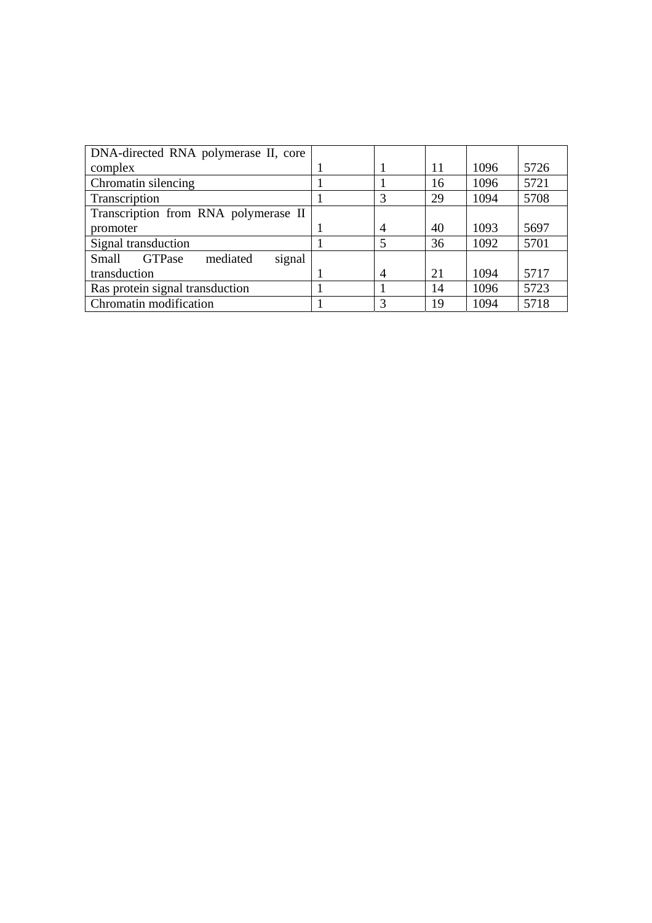| DNA-directed RNA polymerase II, core         |                |    |      |      |
|----------------------------------------------|----------------|----|------|------|
| complex                                      |                | 11 | 1096 | 5726 |
| Chromatin silencing                          |                | 16 | 1096 | 5721 |
| Transcription                                | 3              | 29 | 1094 | 5708 |
| Transcription from RNA polymerase II         |                |    |      |      |
| promoter                                     | $\overline{4}$ | 40 | 1093 | 5697 |
| Signal transduction                          |                | 36 | 1092 | 5701 |
| <b>GTPase</b><br>signal<br>Small<br>mediated |                |    |      |      |
| transduction                                 | $\overline{4}$ | 21 | 1094 | 5717 |
| Ras protein signal transduction              |                | 14 | 1096 | 5723 |
| Chromatin modification                       |                | 19 | 1094 | 5718 |

<u> The Communication of the Communication of the Communication of the Communication of the Communication of the Co</u>